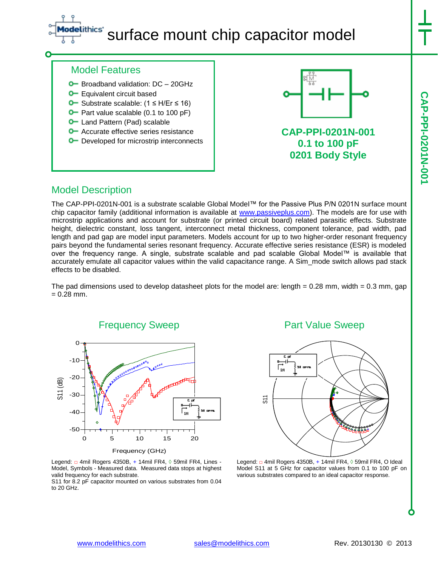# ithics' surface mount chip capacitor model

### Model Features

- **O** Broadband validation: DC 20GHz
- **O** Equivalent circuit based
- Substrate scalable: (1 ≤ H/Er ≤ 16)
- $\bullet$  Part value scalable (0.1 to 100 pF)
- **O** Land Pattern (Pad) scalable
- **O** Accurate effective series resistance
- **O** Developed for microstrip interconnects



**CAP-PPI-0201N-001 0.1 to 100 pF 0201 Body Style**

### Model Description

The CAP-PPI-0201N-001 is a substrate scalable Global Model™ for the Passive Plus P/N 0201N surface mount chip capacitor family (additional information is available at [www.passiveplus.com\)](http://www.passiveplus.com/). The models are for use with microstrip applications and account for substrate (or printed circuit board) related parasitic effects. Substrate height, dielectric constant, loss tangent, interconnect metal thickness, component tolerance, pad width, pad length and pad gap are model input parameters. Models account for up to two higher-order resonant frequency pairs beyond the fundamental series resonant frequency. Accurate effective series resistance (ESR) is modeled over the frequency range. A single, substrate scalable and pad scalable Global Model™ is available that accurately emulate all capacitor values within the valid capacitance range. A Sim\_mode switch allows pad stack effects to be disabled.

The pad dimensions used to develop datasheet plots for the model are: length  $= 0.28$  mm, width  $= 0.3$  mm, gap  $= 0.28$  mm.



Legend: □ 4mil Rogers 4350B, + 14mil FR4, ◊ 59mil FR4, Lines - Model, Symbols - Measured data. Measured data stops at highest valid frequency for each substrate.

S11 for 8.2 pF capacitor mounted on various substrates from 0.04 to 20 GHz.

### Part Value Sweep



Legend: □ 4mil Rogers 4350B, + 14mil FR4, ◊ 59mil FR4, O Ideal Legena: a 4mii Rogers 4350B, + 14mii FR4, 0 59mii FR4, 0 ideal<br>Model S11 at 5 GHz for capacitor values from 0.1 to 100 pF on various substrates compared to an ideal capacitor response.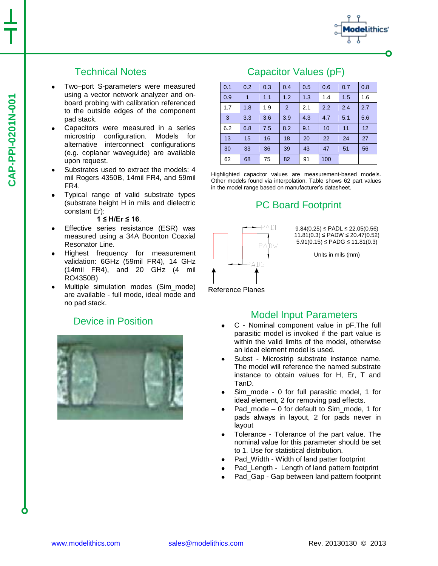# Technical Notes

- Two–port S-parameters were measured using a vector network analyzer and onboard probing with calibration referenced to the outside edges of the component pad stack.
- Capacitors were measured in a series microstrip configuration. Models for alternative interconnect configurations (e.g. coplanar waveguide) are available upon request.
- Substrates used to extract the models: 4 mil Rogers 4350B, 14mil FR4, and 59mil FR4.
- Typical range of valid substrate types (substrate height H in mils and dielectric constant Er):

#### **1 ≤ H/Er ≤ 16**.

- Effective series resistance (ESR) was measured using a 34A Boonton Coaxial Resonator Line.
- Highest frequency for measurement validation: 6GHz (59mil FR4), 14 GHz (14mil FR4), and 20 GHz (4 mil RO4350B)
- Multiple simulation modes (Sim\_mode) are available - full mode, ideal mode and no pad stack.

### Device in Position



### Capacitor Values (pF)



Highlighted capacitor values are measurement-based models. Other models found via interpolation. Table shows 62 part values in the model range based on manufacturer's datasheet.

# PC Board Footprint



 $9.84(0.25) \leq \text{PADL} \leq 22.05(0.56)$ 11.81(0.3) ≤ PADW ≤ 20.47(0.52)  $5.91(0.15)$  ≤ PADG ≤ 11.81(0.3)

thics'

Units in mils (mm)

Reference Planes

#### Model Input Parameters

- C Nominal component value in pF.The full parasitic model is invoked if the part value is within the valid limits of the model, otherwise an ideal element model is used.
- Subst Microstrip substrate instance name. The model will reference the named substrate instance to obtain values for H, Er, T and TanD.
- Sim\_mode 0 for full parasitic model, 1 for ideal element, 2 for removing pad effects.
- Pad\_mode 0 for default to Sim\_mode, 1 for pads always in layout, 2 for pads never in layout
- Tolerance Tolerance of the part value. The  $\bullet$ nominal value for this parameter should be set to 1. Use for statistical distribution.
- Pad\_Width Width of land patter footprint
- Pad\_Length Length of land pattern footprint
- Pad Gap Gap between land pattern footprint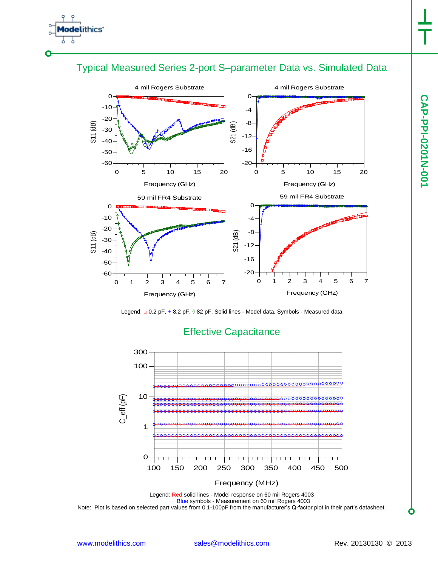







## Effective Capacitance

Legend: Red solid lines - Model response on 60 mil Rogers 4003 Blue symbols - Measurement on 60 mil Rogers 4003 Note: Plot is based on selected part values from 0.1-100pF from the manufacturer's Q-factor plot in their part's datasheet.